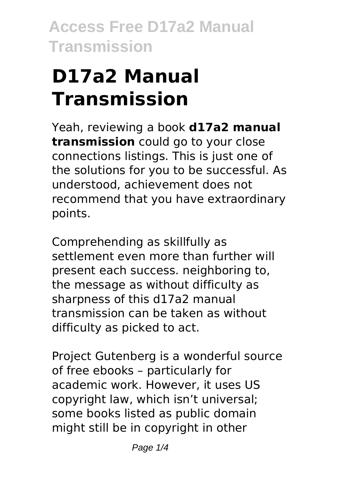# **D17a2 Manual Transmission**

Yeah, reviewing a book **d17a2 manual transmission** could go to your close connections listings. This is just one of the solutions for you to be successful. As understood, achievement does not recommend that you have extraordinary points.

Comprehending as skillfully as settlement even more than further will present each success. neighboring to, the message as without difficulty as sharpness of this d17a2 manual transmission can be taken as without difficulty as picked to act.

Project Gutenberg is a wonderful source of free ebooks – particularly for academic work. However, it uses US copyright law, which isn't universal; some books listed as public domain might still be in copyright in other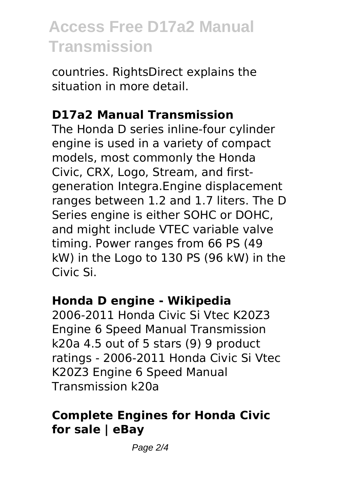countries. RightsDirect explains the situation in more detail.

### **D17a2 Manual Transmission**

The Honda D series inline-four cylinder engine is used in a variety of compact models, most commonly the Honda Civic, CRX, Logo, Stream, and firstgeneration Integra.Engine displacement ranges between 1.2 and 1.7 liters. The D Series engine is either SOHC or DOHC, and might include VTEC variable valve timing. Power ranges from 66 PS (49 kW) in the Logo to 130 PS (96 kW) in the Civic Si.

#### **Honda D engine - Wikipedia**

2006-2011 Honda Civic Si Vtec K20Z3 Engine 6 Speed Manual Transmission k20a 4.5 out of 5 stars (9) 9 product ratings - 2006-2011 Honda Civic Si Vtec K20Z3 Engine 6 Speed Manual Transmission k20a

### **Complete Engines for Honda Civic for sale | eBay**

Page 2/4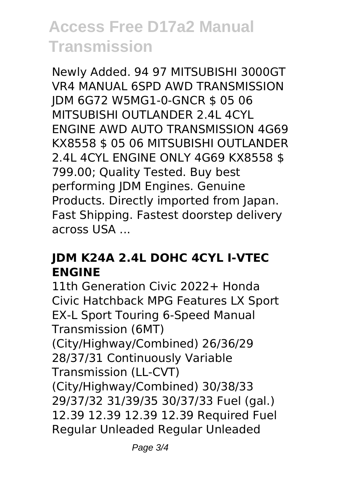Newly Added. 94 97 MITSUBISHI 3000GT VR4 MANUAL 6SPD AWD TRANSMISSION JDM 6G72 W5MG1-0-GNCR \$ 05 06 MITSUBISHI OUTLANDER 2.4L 4CYL ENGINE AWD AUTO TRANSMISSION 4G69 KX8558 \$ 05 06 MITSUBISHI OUTLANDER 2.4L 4CYL ENGINE ONLY 4G69 KX8558 \$ 799.00; Quality Tested. Buy best performing JDM Engines. Genuine Products. Directly imported from Japan. Fast Shipping. Fastest doorstep delivery across USA ...

#### **JDM K24A 2.4L DOHC 4CYL I-VTEC ENGINE**

11th Generation Civic 2022+ Honda Civic Hatchback MPG Features LX Sport EX-L Sport Touring 6-Speed Manual Transmission (6MT) (City/Highway/Combined) 26/36/29 28/37/31 Continuously Variable Transmission (LL-CVT) (City/Highway/Combined) 30/38/33 29/37/32 31/39/35 30/37/33 Fuel (gal.) 12.39 12.39 12.39 12.39 Required Fuel Regular Unleaded Regular Unleaded